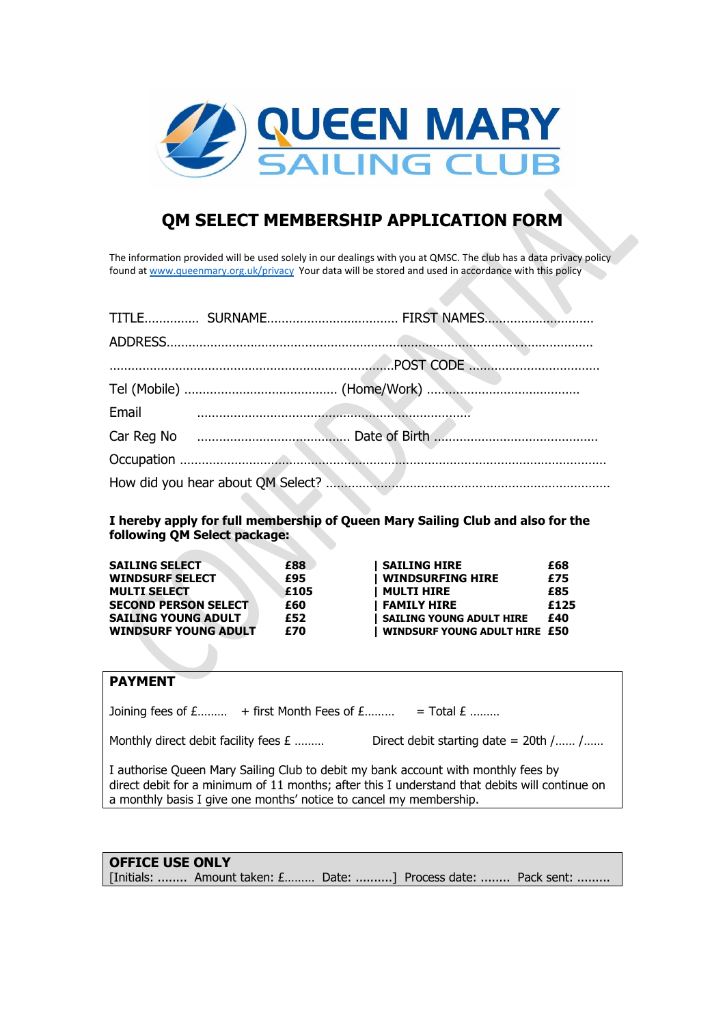

# **QM SELECT MEMBERSHIP APPLICATION FORM**

The information provided will be used solely in our dealings with you at QMSC. The club has a data privacy policy found at [www.queenmary.org.uk/privacy](http://www.queenmary.org.uk/privacy) Your data will be stored and used in accordance with this policy

| Email<br><u>and the communication of the communication</u> |  |
|------------------------------------------------------------|--|
|                                                            |  |
|                                                            |  |
|                                                            |  |

**I hereby apply for full membership of Queen Mary Sailing Club and also for the following QM Select package:**

| <b>SAILING SELECT</b>       | £88  | <b>SAILING HIRE</b>                  | £68  |
|-----------------------------|------|--------------------------------------|------|
| <b>WINDSURF SELECT</b>      | £95  | <b>WINDSURFING HIRE</b>              | £75  |
| <b>MULTI SELECT</b>         | £105 | <b>MULTI HIRE</b>                    | £85  |
| <b>SECOND PERSON SELECT</b> | £60  | <b>FAMILY HIRE</b>                   | £125 |
| <b>SAILING YOUNG ADULT</b>  | £52  | <b>SAILING YOUNG ADULT HIRE</b>      | £40  |
| <b>WINDSURF YOUNG ADULT</b> | £70  | <b>WINDSURF YOUNG ADULT HIRE £50</b> |      |

#### **PAYMENT**

Joining fees of  $E$ ......... + first Month Fees of  $E$ ......... = Total  $E$  .........

Monthly direct debit facility fees  $E$  ……… Direct debit starting date = 20th /…… /……

I authorise Queen Mary Sailing Club to debit my bank account with monthly fees by direct debit for a minimum of 11 months; after this I understand that debits will continue on a monthly basis I give one months' notice to cancel my membership.

### **OFFICE USE ONLY**

[Initials: ........ Amount taken: £......... Date: ..........] Process date: ........ Pack sent: .........